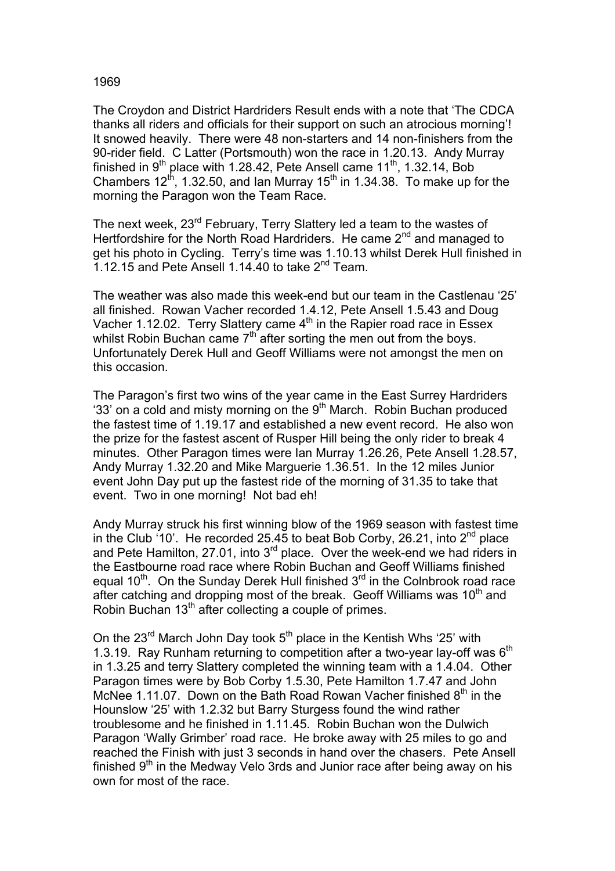## 1969

The Croydon and District Hardriders Result ends with a note that 'The CDCA thanks all riders and officials for their support on such an atrocious morning'! It snowed heavily. There were 48 non-starters and 14 non-finishers from the 90-rider field. C Latter (Portsmouth) won the race in 1.20.13. Andy Murray finished in  $9<sup>th</sup>$  place with 1.28.42, Pete Ansell came 11<sup>th</sup>, 1.32.14, Bob Chambers  $12^{th}$ , 1.32.50, and Ian Murray 15<sup>th</sup> in 1.34.38. To make up for the morning the Paragon won the Team Race.

The next week, 23<sup>rd</sup> February, Terry Slattery led a team to the wastes of Hertfordshire for the North Road Hardriders. He came  $2<sup>nd</sup>$  and managed to get his photo in Cycling. Terry's time was 1.10.13 whilst Derek Hull finished in 1.12.15 and Pete Ansell 1.14.40 to take  $2^{nd}$  Team.

The weather was also made this week-end but our team in the Castlenau '25' all finished. Rowan Vacher recorded 1.4.12, Pete Ansell 1.5.43 and Doug Vacher 1.12.02. Terry Slattery came 4<sup>th</sup> in the Rapier road race in Essex whilst Robin Buchan came  $7<sup>th</sup>$  after sorting the men out from the boys. Unfortunately Derek Hull and Geoff Williams were not amongst the men on this occasion.

The Paragon's first two wins of the year came in the East Surrey Hardriders '33' on a cold and misty morning on the  $9<sup>th</sup>$  March. Robin Buchan produced the fastest time of 1.19.17 and established a new event record. He also won the prize for the fastest ascent of Rusper Hill being the only rider to break 4 minutes. Other Paragon times were Ian Murray 1.26.26, Pete Ansell 1.28.57, Andy Murray 1.32.20 and Mike Marguerie 1.36.51. In the 12 miles Junior event John Day put up the fastest ride of the morning of 31.35 to take that event. Two in one morning! Not bad eh!

Andy Murray struck his first winning blow of the 1969 season with fastest time in the Club '10'. He recorded 25.45 to beat Bob Corby, 26.21, into  $2^{nd}$  place and Pete Hamilton, 27.01, into  $3<sup>rd</sup>$  place. Over the week-end we had riders in the Eastbourne road race where Robin Buchan and Geoff Williams finished equal  $10^{th}$ . On the Sunday Derek Hull finished  $3^{rd}$  in the Colnbrook road race after catching and dropping most of the break. Geoff Williams was  $10<sup>th</sup>$  and Robin Buchan 13<sup>th</sup> after collecting a couple of primes.

On the  $23^{rd}$  March John Day took  $5^{th}$  place in the Kentish Whs '25' with 1.3.19. Ray Runham returning to competition after a two-year lay-off was  $6<sup>th</sup>$ in 1.3.25 and terry Slattery completed the winning team with a 1.4.04. Other Paragon times were by Bob Corby 1.5.30, Pete Hamilton 1.7.47 and John McNee 1.11.07. Down on the Bath Road Rowan Vacher finished  $8<sup>th</sup>$  in the Hounslow '25' with 1.2.32 but Barry Sturgess found the wind rather troublesome and he finished in 1.11.45. Robin Buchan won the Dulwich Paragon 'Wally Grimber' road race. He broke away with 25 miles to go and reached the Finish with just 3 seconds in hand over the chasers. Pete Ansell finished  $9<sup>th</sup>$  in the Medway Velo 3rds and Junior race after being away on his own for most of the race.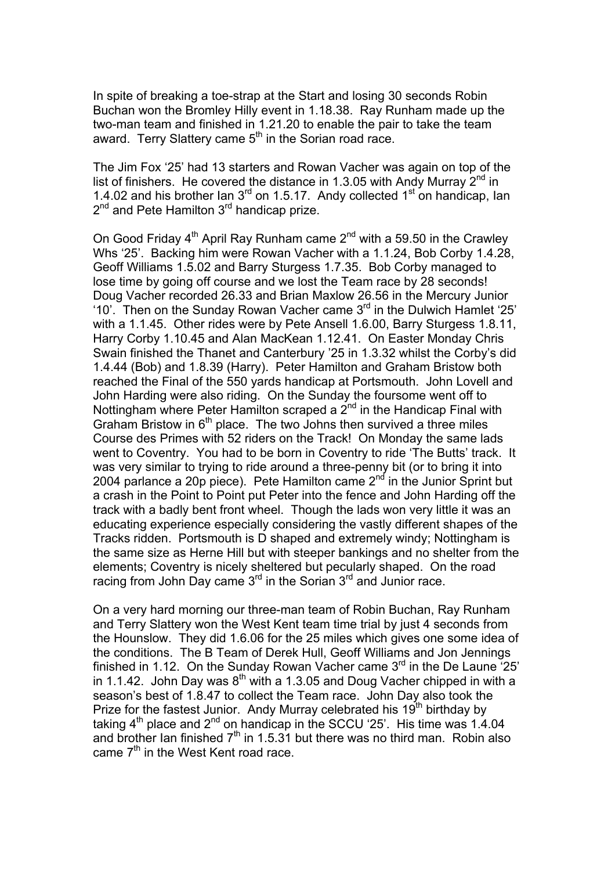In spite of breaking a toe-strap at the Start and losing 30 seconds Robin Buchan won the Bromley Hilly event in 1.18.38. Ray Runham made up the two-man team and finished in 1.21.20 to enable the pair to take the team award. Terry Slattery came  $5<sup>th</sup>$  in the Sorian road race.

The Jim Fox '25' had 13 starters and Rowan Vacher was again on top of the list of finishers. He covered the distance in 1.3.05 with Andy Murray  $2^{nd}$  in 1.4.02 and his brother Ian  $3<sup>rd</sup>$  on 1.5.17. Andy collected 1<sup>st</sup> on handicap, Ian  $2<sup>nd</sup>$  and Pete Hamilton  $3<sup>rd</sup>$  handicap prize.

On Good Friday  $4<sup>th</sup>$  April Ray Runham came  $2<sup>nd</sup>$  with a 59.50 in the Crawley Whs '25'. Backing him were Rowan Vacher with a 1.1.24, Bob Corby 1.4.28, Geoff Williams 1.5.02 and Barry Sturgess 1.7.35. Bob Corby managed to lose time by going off course and we lost the Team race by 28 seconds! Doug Vacher recorded 26.33 and Brian Maxlow 26.56 in the Mercury Junior '10'. Then on the Sunday Rowan Vacher came  $3<sup>rd</sup>$  in the Dulwich Hamlet '25' with a 1.1.45. Other rides were by Pete Ansell 1.6.00, Barry Sturgess 1.8.11, Harry Corby 1.10.45 and Alan MacKean 1.12.41. On Easter Monday Chris Swain finished the Thanet and Canterbury '25 in 1.3.32 whilst the Corby's did 1.4.44 (Bob) and 1.8.39 (Harry). Peter Hamilton and Graham Bristow both reached the Final of the 550 yards handicap at Portsmouth. John Lovell and John Harding were also riding. On the Sunday the foursome went off to Nottingham where Peter Hamilton scraped a  $2<sup>nd</sup>$  in the Handicap Final with Graham Bristow in  $6<sup>th</sup>$  place. The two Johns then survived a three miles Course des Primes with 52 riders on the Track! On Monday the same lads went to Coventry. You had to be born in Coventry to ride 'The Butts' track. It was very similar to trying to ride around a three-penny bit (or to bring it into 2004 parlance a 20p piece). Pete Hamilton came  $2^{nd}$  in the Junior Sprint but a crash in the Point to Point put Peter into the fence and John Harding off the track with a badly bent front wheel. Though the lads won very little it was an educating experience especially considering the vastly different shapes of the Tracks ridden. Portsmouth is D shaped and extremely windy; Nottingham is the same size as Herne Hill but with steeper bankings and no shelter from the elements; Coventry is nicely sheltered but pecularly shaped. On the road racing from John Day came 3<sup>rd</sup> in the Sorian 3<sup>rd</sup> and Junior race.

On a very hard morning our three-man team of Robin Buchan, Ray Runham and Terry Slattery won the West Kent team time trial by just 4 seconds from the Hounslow. They did 1.6.06 for the 25 miles which gives one some idea of the conditions. The B Team of Derek Hull, Geoff Williams and Jon Jennings finished in 1.12. On the Sunday Rowan Vacher came  $3<sup>rd</sup>$  in the De Laune  $25<sup>rd</sup>$ in 1.1.42. John Day was  $8<sup>th</sup>$  with a 1.3.05 and Doug Vacher chipped in with a season's best of 1.8.47 to collect the Team race. John Day also took the Prize for the fastest Junior. Andy Murray celebrated his  $19<sup>th</sup>$  birthday by taking  $4<sup>th</sup>$  place and  $2<sup>nd</sup>$  on handicap in the SCCU '25'. His time was 1.4.04 and brother Ian finished  $7<sup>th</sup>$  in 1.5.31 but there was no third man. Robin also came 7<sup>th</sup> in the West Kent road race.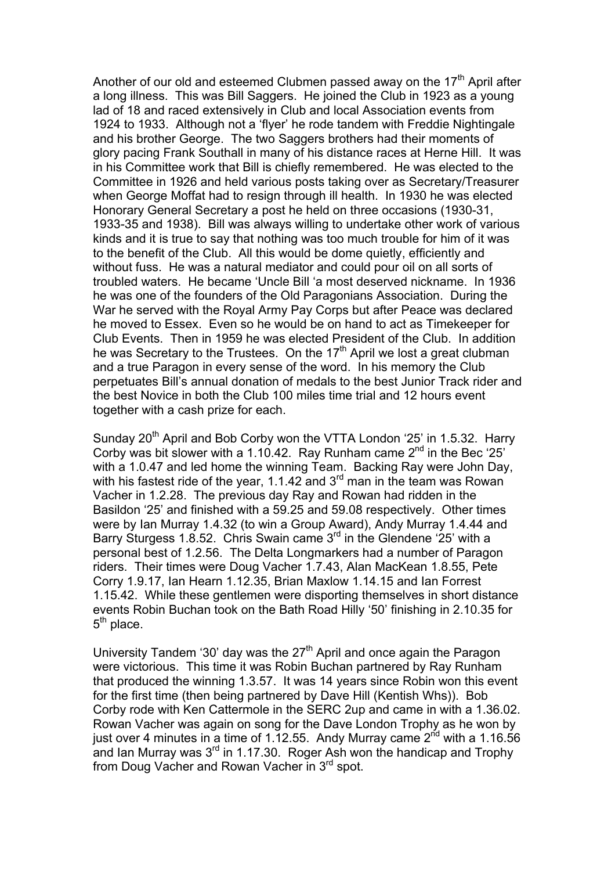Another of our old and esteemed Clubmen passed away on the  $17<sup>th</sup>$  April after a long illness. This was Bill Saggers. He joined the Club in 1923 as a young lad of 18 and raced extensively in Club and local Association events from 1924 to 1933. Although not a 'flyer' he rode tandem with Freddie Nightingale and his brother George. The two Saggers brothers had their moments of glory pacing Frank Southall in many of his distance races at Herne Hill. It was in his Committee work that Bill is chiefly remembered. He was elected to the Committee in 1926 and held various posts taking over as Secretary/Treasurer when George Moffat had to resign through ill health. In 1930 he was elected Honorary General Secretary a post he held on three occasions (1930-31, 1933-35 and 1938). Bill was always willing to undertake other work of various kinds and it is true to say that nothing was too much trouble for him of it was to the benefit of the Club. All this would be dome quietly, efficiently and without fuss. He was a natural mediator and could pour oil on all sorts of troubled waters. He became 'Uncle Bill 'a most deserved nickname. In 1936 he was one of the founders of the Old Paragonians Association. During the War he served with the Royal Army Pay Corps but after Peace was declared he moved to Essex. Even so he would be on hand to act as Timekeeper for Club Events. Then in 1959 he was elected President of the Club. In addition he was Secretary to the Trustees. On the  $17<sup>th</sup>$  April we lost a great clubman and a true Paragon in every sense of the word. In his memory the Club perpetuates Bill's annual donation of medals to the best Junior Track rider and the best Novice in both the Club 100 miles time trial and 12 hours event together with a cash prize for each.

Sunday 20<sup>th</sup> April and Bob Corby won the VTTA London '25' in 1.5.32. Harry Corby was bit slower with a 1.10.42. Ray Runham came  $2^{nd}$  in the Bec '25' with a 1.0.47 and led home the winning Team. Backing Ray were John Day, with his fastest ride of the year, 1.1.42 and 3<sup>rd</sup> man in the team was Rowan Vacher in 1.2.28. The previous day Ray and Rowan had ridden in the Basildon '25' and finished with a 59.25 and 59.08 respectively. Other times were by Ian Murray 1.4.32 (to win a Group Award), Andy Murray 1.4.44 and Barry Sturgess 1.8.52. Chris Swain came 3<sup>rd</sup> in the Glendene '25' with a personal best of 1.2.56. The Delta Longmarkers had a number of Paragon riders. Their times were Doug Vacher 1.7.43, Alan MacKean 1.8.55, Pete Corry 1.9.17, Ian Hearn 1.12.35, Brian Maxlow 1.14.15 and Ian Forrest 1.15.42. While these gentlemen were disporting themselves in short distance events Robin Buchan took on the Bath Road Hilly '50' finishing in 2.10.35 for  $5<sup>th</sup>$  place.

University Tandem '30' day was the  $27<sup>th</sup>$  April and once again the Paragon were victorious. This time it was Robin Buchan partnered by Ray Runham that produced the winning 1.3.57. It was 14 years since Robin won this event for the first time (then being partnered by Dave Hill (Kentish Whs)). Bob Corby rode with Ken Cattermole in the SERC 2up and came in with a 1.36.02. Rowan Vacher was again on song for the Dave London Trophy as he won by just over 4 minutes in a time of 1.12.55. Andy Murray came  $2^{nd}$  with a 1.16.56 and Ian Murray was  $3^{rd}$  in 1.17.30. Roger Ash won the handicap and Trophy from Doug Vacher and Rowan Vacher in 3<sup>rd</sup> spot.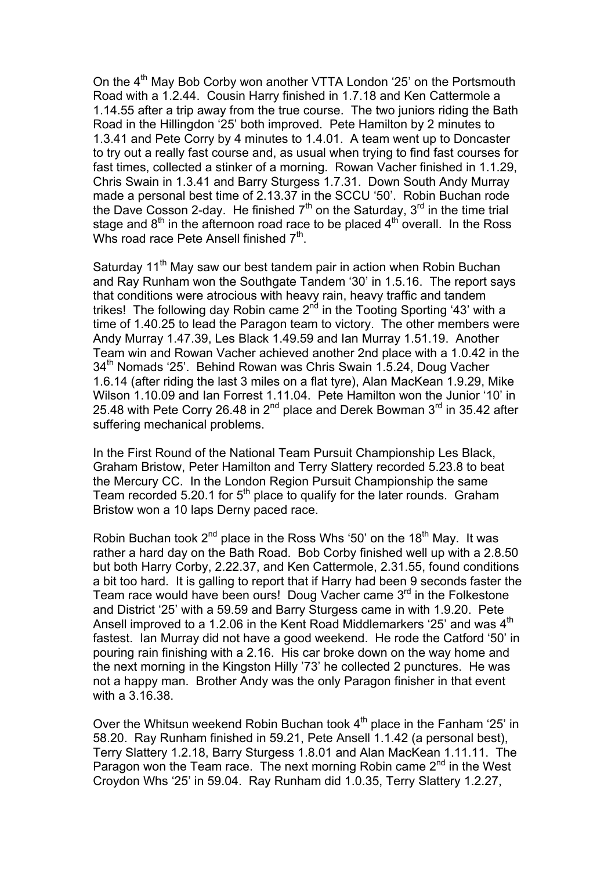On the 4<sup>th</sup> May Bob Corby won another VTTA London '25' on the Portsmouth Road with a 1.2.44. Cousin Harry finished in 1.7.18 and Ken Cattermole a 1.14.55 after a trip away from the true course. The two juniors riding the Bath Road in the Hillingdon '25' both improved. Pete Hamilton by 2 minutes to 1.3.41 and Pete Corry by 4 minutes to 1.4.01. A team went up to Doncaster to try out a really fast course and, as usual when trying to find fast courses for fast times, collected a stinker of a morning. Rowan Vacher finished in 1.1.29, Chris Swain in 1.3.41 and Barry Sturgess 1.7.31. Down South Andy Murray made a personal best time of 2.13.37 in the SCCU '50'. Robin Buchan rode the Dave Cosson 2-day. He finished  $7<sup>th</sup>$  on the Saturday,  $3<sup>rd</sup>$  in the time trial stage and  $8<sup>th</sup>$  in the afternoon road race to be placed  $4<sup>th</sup>$  overall. In the Ross Whs road race Pete Ansell finished  $7<sup>th</sup>$ .

Saturday 11<sup>th</sup> May saw our best tandem pair in action when Robin Buchan and Ray Runham won the Southgate Tandem '30' in 1.5.16. The report says that conditions were atrocious with heavy rain, heavy traffic and tandem trikes! The following day Robin came  $2^{nd}$  in the Tooting Sporting '43' with a time of 1.40.25 to lead the Paragon team to victory. The other members were Andy Murray 1.47.39, Les Black 1.49.59 and Ian Murray 1.51.19. Another Team win and Rowan Vacher achieved another 2nd place with a 1.0.42 in the 34<sup>th</sup> Nomads '25'. Behind Rowan was Chris Swain 1.5.24, Doug Vacher 1.6.14 (after riding the last 3 miles on a flat tyre), Alan MacKean 1.9.29, Mike Wilson 1.10.09 and Ian Forrest 1.11.04. Pete Hamilton won the Junior '10' in 25.48 with Pete Corry 26.48 in 2nd place and Derek Bowman 3rd in 35.42 after suffering mechanical problems.

In the First Round of the National Team Pursuit Championship Les Black, Graham Bristow, Peter Hamilton and Terry Slattery recorded 5.23.8 to beat the Mercury CC. In the London Region Pursuit Championship the same Team recorded 5.20.1 for  $5<sup>th</sup>$  place to qualify for the later rounds. Graham Bristow won a 10 laps Derny paced race.

Robin Buchan took  $2^{nd}$  place in the Ross Whs '50' on the 18<sup>th</sup> May. It was rather a hard day on the Bath Road. Bob Corby finished well up with a 2.8.50 but both Harry Corby, 2.22.37, and Ken Cattermole, 2.31.55, found conditions a bit too hard. It is galling to report that if Harry had been 9 seconds faster the Team race would have been ours! Doug Vacher came 3rd in the Folkestone and District '25' with a 59.59 and Barry Sturgess came in with 1.9.20. Pete Ansell improved to a 1.2.06 in the Kent Road Middlemarkers '25' and was 4<sup>th</sup> fastest. Ian Murray did not have a good weekend. He rode the Catford '50' in pouring rain finishing with a 2.16. His car broke down on the way home and the next morning in the Kingston Hilly '73' he collected 2 punctures. He was not a happy man. Brother Andy was the only Paragon finisher in that event with a 3.16.38.

Over the Whitsun weekend Robin Buchan took 4<sup>th</sup> place in the Fanham '25' in 58.20. Ray Runham finished in 59.21, Pete Ansell 1.1.42 (a personal best), Terry Slattery 1.2.18, Barry Sturgess 1.8.01 and Alan MacKean 1.11.11. The Paragon won the Team race. The next morning Robin came  $2<sup>nd</sup>$  in the West Croydon Whs '25' in 59.04. Ray Runham did 1.0.35, Terry Slattery 1.2.27,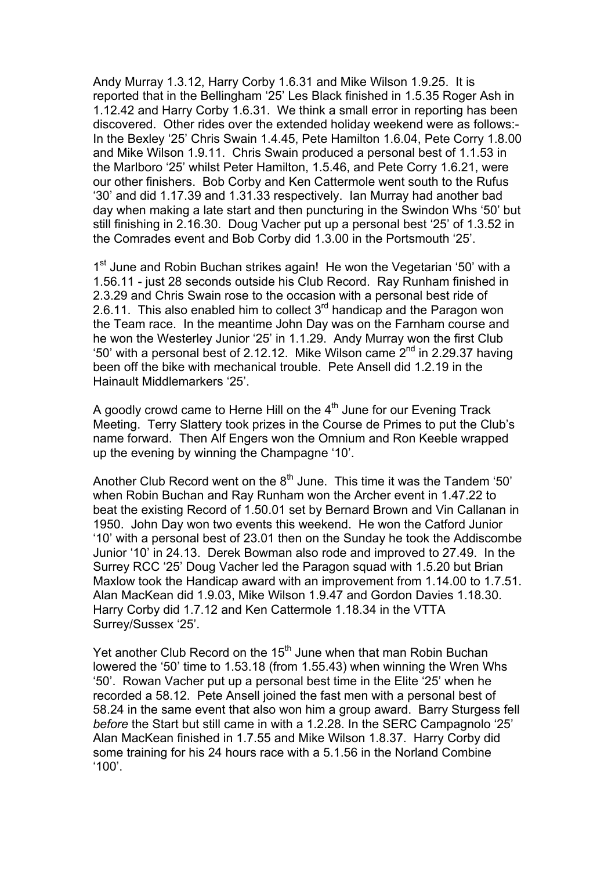Andy Murray 1.3.12, Harry Corby 1.6.31 and Mike Wilson 1.9.25. It is reported that in the Bellingham '25' Les Black finished in 1.5.35 Roger Ash in 1.12.42 and Harry Corby 1.6.31. We think a small error in reporting has been discovered. Other rides over the extended holiday weekend were as follows:- In the Bexley '25' Chris Swain 1.4.45, Pete Hamilton 1.6.04, Pete Corry 1.8.00 and Mike Wilson 1.9.11. Chris Swain produced a personal best of 1.1.53 in the Marlboro '25' whilst Peter Hamilton, 1.5.46, and Pete Corry 1.6.21, were our other finishers. Bob Corby and Ken Cattermole went south to the Rufus '30' and did 1.17.39 and 1.31.33 respectively. Ian Murray had another bad day when making a late start and then puncturing in the Swindon Whs '50' but still finishing in 2.16.30. Doug Vacher put up a personal best '25' of 1.3.52 in the Comrades event and Bob Corby did 1.3.00 in the Portsmouth '25'.

1<sup>st</sup> June and Robin Buchan strikes again! He won the Vegetarian '50' with a 1.56.11 - just 28 seconds outside his Club Record. Ray Runham finished in 2.3.29 and Chris Swain rose to the occasion with a personal best ride of 2.6.11. This also enabled him to collect  $3<sup>rd</sup>$  handicap and the Paragon won the Team race. In the meantime John Day was on the Farnham course and he won the Westerley Junior '25' in 1.1.29. Andy Murray won the first Club '50' with a personal best of 2.12.12. Mike Wilson came  $2<sup>nd</sup>$  in 2.29.37 having been off the bike with mechanical trouble. Pete Ansell did 1.2.19 in the Hainault Middlemarkers '25'.

A goodly crowd came to Herne Hill on the  $4<sup>th</sup>$  June for our Evening Track Meeting. Terry Slattery took prizes in the Course de Primes to put the Club's name forward. Then Alf Engers won the Omnium and Ron Keeble wrapped up the evening by winning the Champagne '10'.

Another Club Record went on the  $8<sup>th</sup>$  June. This time it was the Tandem '50' when Robin Buchan and Ray Runham won the Archer event in 1.47.22 to beat the existing Record of 1.50.01 set by Bernard Brown and Vin Callanan in 1950. John Day won two events this weekend. He won the Catford Junior '10' with a personal best of 23.01 then on the Sunday he took the Addiscombe Junior '10' in 24.13. Derek Bowman also rode and improved to 27.49. In the Surrey RCC '25' Doug Vacher led the Paragon squad with 1.5.20 but Brian Maxlow took the Handicap award with an improvement from 1.14.00 to 1.7.51. Alan MacKean did 1.9.03, Mike Wilson 1.9.47 and Gordon Davies 1.18.30. Harry Corby did 1.7.12 and Ken Cattermole 1.18.34 in the VTTA Surrey/Sussex '25'.

Yet another Club Record on the 15<sup>th</sup> June when that man Robin Buchan lowered the '50' time to 1.53.18 (from 1.55.43) when winning the Wren Whs '50'. Rowan Vacher put up a personal best time in the Elite '25' when he recorded a 58.12. Pete Ansell joined the fast men with a personal best of 58.24 in the same event that also won him a group award. Barry Sturgess fell *before* the Start but still came in with a 1.2.28. In the SERC Campagnolo '25' Alan MacKean finished in 1.7.55 and Mike Wilson 1.8.37. Harry Corby did some training for his 24 hours race with a 5.1.56 in the Norland Combine '100'.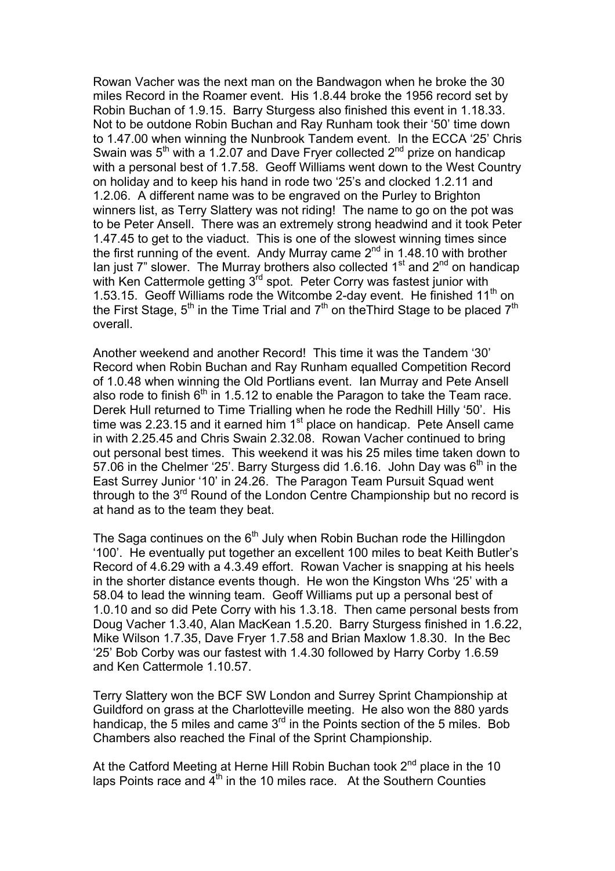Rowan Vacher was the next man on the Bandwagon when he broke the 30 miles Record in the Roamer event. His 1.8.44 broke the 1956 record set by Robin Buchan of 1.9.15. Barry Sturgess also finished this event in 1.18.33. Not to be outdone Robin Buchan and Ray Runham took their '50' time down to 1.47.00 when winning the Nunbrook Tandem event. In the ECCA '25' Chris Swain was  $5<sup>th</sup>$  with a 1.2.07 and Dave Fryer collected  $2<sup>nd</sup>$  prize on handicap with a personal best of 1.7.58. Geoff Williams went down to the West Country on holiday and to keep his hand in rode two '25's and clocked 1.2.11 and 1.2.06. A different name was to be engraved on the Purley to Brighton winners list, as Terry Slattery was not riding! The name to go on the pot was to be Peter Ansell. There was an extremely strong headwind and it took Peter 1.47.45 to get to the viaduct. This is one of the slowest winning times since the first running of the event. Andy Murray came  $2^{nd}$  in 1.48.10 with brother Ian just  $7$ " slower. The Murray brothers also collected  $1<sup>st</sup>$  and  $2<sup>nd</sup>$  on handicap with Ken Cattermole getting 3<sup>rd</sup> spot. Peter Corry was fastest junior with 1.53.15. Geoff Williams rode the Witcombe 2-day event. He finished 11<sup>th</sup> on the First Stage,  $5<sup>th</sup>$  in the Time Trial and  $7<sup>th</sup>$  on the Third Stage to be placed  $7<sup>th</sup>$ overall.

Another weekend and another Record! This time it was the Tandem '30' Record when Robin Buchan and Ray Runham equalled Competition Record of 1.0.48 when winning the Old Portlians event. Ian Murray and Pete Ansell also rode to finish  $6<sup>th</sup>$  in 1.5.12 to enable the Paragon to take the Team race. Derek Hull returned to Time Trialling when he rode the Redhill Hilly '50'. His time was 2.23.15 and it earned him  $1<sup>st</sup>$  place on handicap. Pete Ansell came in with 2.25.45 and Chris Swain 2.32.08. Rowan Vacher continued to bring out personal best times. This weekend it was his 25 miles time taken down to 57.06 in the Chelmer '25'. Barry Sturgess did 1.6.16. John Day was  $6<sup>th</sup>$  in the East Surrey Junior '10' in 24.26. The Paragon Team Pursuit Squad went through to the 3<sup>rd</sup> Round of the London Centre Championship but no record is at hand as to the team they beat.

The Saga continues on the  $6<sup>th</sup>$  July when Robin Buchan rode the Hillingdon '100'. He eventually put together an excellent 100 miles to beat Keith Butler's Record of 4.6.29 with a 4.3.49 effort. Rowan Vacher is snapping at his heels in the shorter distance events though. He won the Kingston Whs '25' with a 58.04 to lead the winning team. Geoff Williams put up a personal best of 1.0.10 and so did Pete Corry with his 1.3.18. Then came personal bests from Doug Vacher 1.3.40, Alan MacKean 1.5.20. Barry Sturgess finished in 1.6.22, Mike Wilson 1.7.35, Dave Fryer 1.7.58 and Brian Maxlow 1.8.30. In the Bec '25' Bob Corby was our fastest with 1.4.30 followed by Harry Corby 1.6.59 and Ken Cattermole 1.10.57.

Terry Slattery won the BCF SW London and Surrey Sprint Championship at Guildford on grass at the Charlotteville meeting. He also won the 880 yards handicap, the 5 miles and came  $3<sup>rd</sup>$  in the Points section of the 5 miles. Bob Chambers also reached the Final of the Sprint Championship.

At the Catford Meeting at Herne Hill Robin Buchan took 2<sup>nd</sup> place in the 10 laps Points race and  $4<sup>th</sup>$  in the 10 miles race. At the Southern Counties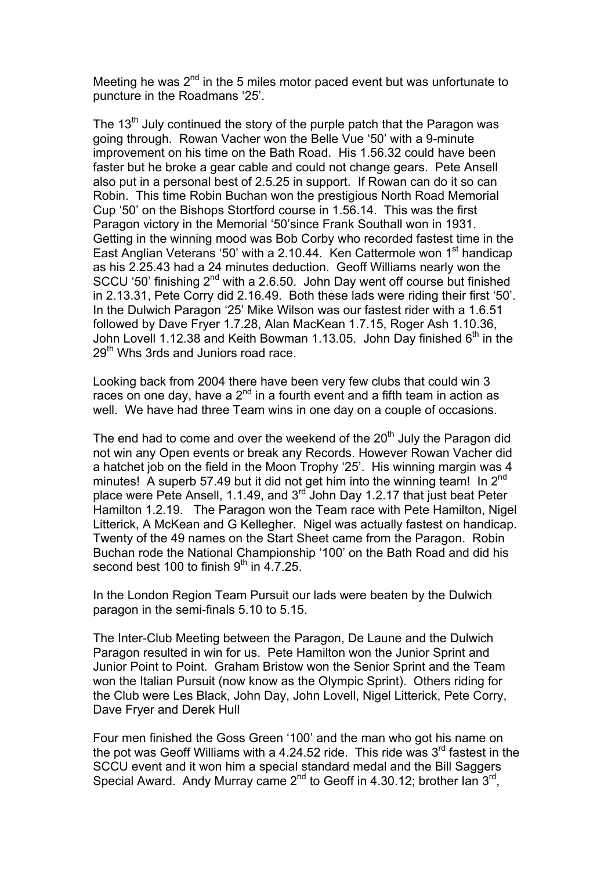Meeting he was  $2<sup>nd</sup>$  in the 5 miles motor paced event but was unfortunate to puncture in the Roadmans '25'.

The  $13<sup>th</sup>$  July continued the story of the purple patch that the Paragon was going through. Rowan Vacher won the Belle Vue '50' with a 9-minute improvement on his time on the Bath Road. His 1.56.32 could have been faster but he broke a gear cable and could not change gears. Pete Ansell also put in a personal best of 2.5.25 in support. If Rowan can do it so can Robin. This time Robin Buchan won the prestigious North Road Memorial Cup '50' on the Bishops Stortford course in 1.56.14. This was the first Paragon victory in the Memorial '50'since Frank Southall won in 1931. Getting in the winning mood was Bob Corby who recorded fastest time in the East Anglian Veterans '50' with a 2.10.44. Ken Cattermole won  $1<sup>st</sup>$  handicap as his 2.25.43 had a 24 minutes deduction. Geoff Williams nearly won the SCCU '50' finishing 2<sup>nd</sup> with a 2.6.50. John Day went off course but finished in 2.13.31, Pete Corry did 2.16.49. Both these lads were riding their first '50'. In the Dulwich Paragon '25' Mike Wilson was our fastest rider with a 1.6.51 followed by Dave Fryer 1.7.28, Alan MacKean 1.7.15, Roger Ash 1.10.36, John Lovell 1.12.38 and Keith Bowman 1.13.05. John Day finished  $6<sup>th</sup>$  in the 29<sup>th</sup> Whs 3rds and Juniors road race.

Looking back from 2004 there have been very few clubs that could win 3 races on one day, have a  $2^{nd}$  in a fourth event and a fifth team in action as well. We have had three Team wins in one day on a couple of occasions.

The end had to come and over the weekend of the  $20<sup>th</sup>$  July the Paragon did not win any Open events or break any Records. However Rowan Vacher did a hatchet job on the field in the Moon Trophy '25'. His winning margin was 4 minutes! A superb 57.49 but it did not get him into the winning team! In  $2^{nd}$ place were Pete Ansell, 1.1.49, and 3rd John Day 1.2.17 that just beat Peter Hamilton 1.2.19. The Paragon won the Team race with Pete Hamilton, Nigel Litterick, A McKean and G Kellegher. Nigel was actually fastest on handicap. Twenty of the 49 names on the Start Sheet came from the Paragon. Robin Buchan rode the National Championship '100' on the Bath Road and did his second best 100 to finish  $9<sup>th</sup>$  in 4.7.25.

In the London Region Team Pursuit our lads were beaten by the Dulwich paragon in the semi-finals 5.10 to 5.15.

The Inter-Club Meeting between the Paragon, De Laune and the Dulwich Paragon resulted in win for us. Pete Hamilton won the Junior Sprint and Junior Point to Point. Graham Bristow won the Senior Sprint and the Team won the Italian Pursuit (now know as the Olympic Sprint). Others riding for the Club were Les Black, John Day, John Lovell, Nigel Litterick, Pete Corry, Dave Fryer and Derek Hull

Four men finished the Goss Green '100' and the man who got his name on the pot was Geoff Williams with a 4.24.52 ride. This ride was  $3<sup>rd</sup>$  fastest in the SCCU event and it won him a special standard medal and the Bill Saggers Special Award. Andy Murray came  $2^{nd}$  to Geoff in 4.30.12; brother Ian  $3^{rd}$ ,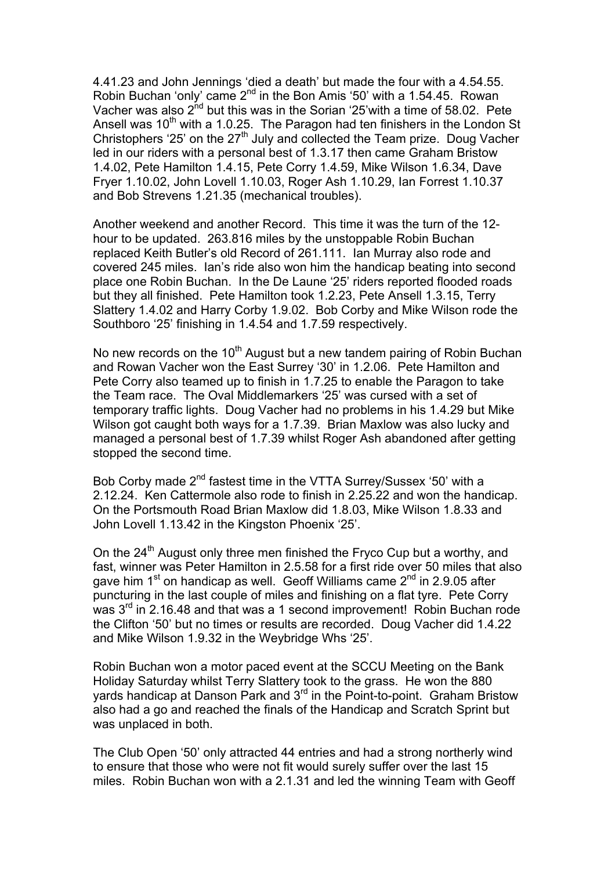4.41.23 and John Jennings 'died a death' but made the four with a 4.54.55. Robin Buchan 'only' came 2<sup>nd</sup> in the Bon Amis '50' with a 1.54.45. Rowan Vacher was also  $2^{nd}$  but this was in the Sorian '25' with a time of 58.02. Pete Ansell was  $10<sup>th</sup>$  with a 1.0.25. The Paragon had ten finishers in the London St Christophers '25' on the  $27<sup>th</sup>$  July and collected the Team prize. Doug Vacher led in our riders with a personal best of 1.3.17 then came Graham Bristow 1.4.02, Pete Hamilton 1.4.15, Pete Corry 1.4.59, Mike Wilson 1.6.34, Dave Fryer 1.10.02, John Lovell 1.10.03, Roger Ash 1.10.29, Ian Forrest 1.10.37 and Bob Strevens 1.21.35 (mechanical troubles).

Another weekend and another Record. This time it was the turn of the 12 hour to be updated. 263.816 miles by the unstoppable Robin Buchan replaced Keith Butler's old Record of 261.111. Ian Murray also rode and covered 245 miles. Ian's ride also won him the handicap beating into second place one Robin Buchan. In the De Laune '25' riders reported flooded roads but they all finished. Pete Hamilton took 1.2.23, Pete Ansell 1.3.15, Terry Slattery 1.4.02 and Harry Corby 1.9.02. Bob Corby and Mike Wilson rode the Southboro '25' finishing in 1.4.54 and 1.7.59 respectively.

No new records on the  $10<sup>th</sup>$  August but a new tandem pairing of Robin Buchan and Rowan Vacher won the East Surrey '30' in 1.2.06. Pete Hamilton and Pete Corry also teamed up to finish in 1.7.25 to enable the Paragon to take the Team race. The Oval Middlemarkers '25' was cursed with a set of temporary traffic lights. Doug Vacher had no problems in his 1.4.29 but Mike Wilson got caught both ways for a 1.7.39. Brian Maxlow was also lucky and managed a personal best of 1.7.39 whilst Roger Ash abandoned after getting stopped the second time.

Bob Corby made 2<sup>nd</sup> fastest time in the VTTA Surrey/Sussex '50' with a 2.12.24. Ken Cattermole also rode to finish in 2.25.22 and won the handicap. On the Portsmouth Road Brian Maxlow did 1.8.03, Mike Wilson 1.8.33 and John Lovell 1.13.42 in the Kingston Phoenix '25'.

On the  $24<sup>th</sup>$  August only three men finished the Fryco Cup but a worthy, and fast, winner was Peter Hamilton in 2.5.58 for a first ride over 50 miles that also gave him  $1<sup>st</sup>$  on handicap as well. Geoff Williams came  $2<sup>nd</sup>$  in 2.9.05 after puncturing in the last couple of miles and finishing on a flat tyre. Pete Corry was 3<sup>rd</sup> in 2.16.48 and that was a 1 second improvement! Robin Buchan rode the Clifton '50' but no times or results are recorded. Doug Vacher did 1.4.22 and Mike Wilson 1.9.32 in the Weybridge Whs '25'.

Robin Buchan won a motor paced event at the SCCU Meeting on the Bank Holiday Saturday whilst Terry Slattery took to the grass. He won the 880 yards handicap at Danson Park and  $3<sup>rd</sup>$  in the Point-to-point. Graham Bristow also had a go and reached the finals of the Handicap and Scratch Sprint but was unplaced in both.

The Club Open '50' only attracted 44 entries and had a strong northerly wind to ensure that those who were not fit would surely suffer over the last 15 miles. Robin Buchan won with a 2.1.31 and led the winning Team with Geoff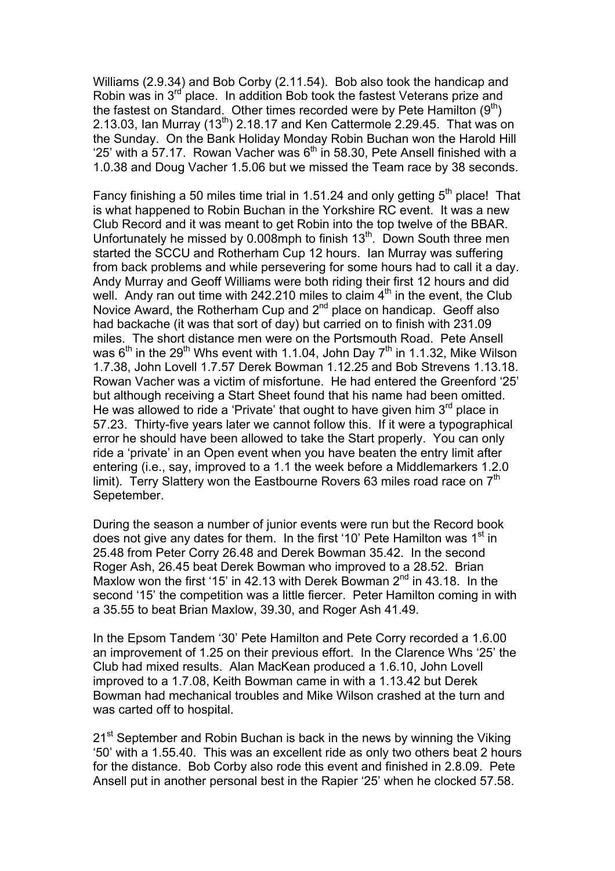Williams (2.9.34) and Bob Corby (2.11.54). Bob also took the handicap and Robin was in  $3<sup>rd</sup>$  place. In addition Bob took the fastest Veterans prize and the fastest on Standard. Other times recorded were by Pete Hamilton  $(9<sup>th</sup>)$ 2.13.03, Ian Murray  $(13^{th})$  2.18.17 and Ken Cattermole 2.29.45. That was on the Sunday. On the Bank Holiday Monday Robin Buchan won the Harold Hill '25' with a 57.17. Rowan Vacher was  $6<sup>th</sup>$  in 58.30, Pete Ansell finished with a 1.0.38 and Doug Vacher 1.5.06 but we missed the Team race by 38 seconds.

Fancy finishing a 50 miles time trial in 1.51.24 and only getting  $5<sup>th</sup>$  place! That is what happened to Robin Buchan in the Yorkshire RC event. It was a new Club Record and it was meant to get Robin into the top twelve of the BBAR. Unfortunately he missed by  $0.008$ mph to finish  $13<sup>th</sup>$ . Down South three men started the SCCU and Rotherham Cup 12 hours. Ian Murray was suffering from back problems and while persevering for some hours had to call it a day. Andy Murray and Geoff Williams were both riding their first 12 hours and did well. Andy ran out time with 242.210 miles to claim  $4<sup>th</sup>$  in the event, the Club Novice Award, the Rotherham Cup and 2<sup>nd</sup> place on handicap. Geoff also had backache (it was that sort of day) but carried on to finish with 231.09 miles. The short distance men were on the Portsmouth Road. Pete Ansell was  $6<sup>th</sup>$  in the 29<sup>th</sup> Whs event with 1.1.04, John Day  $7<sup>th</sup>$  in 1.1.32, Mike Wilson 1.7.38, John Lovell 1.7.57 Derek Bowman 1.12.25 and Bob Strevens 1.13.18. Rowan Vacher was a victim of misfortune. He had entered the Greenford '25' but although receiving a Start Sheet found that his name had been omitted. He was allowed to ride a 'Private' that ought to have given him  $3<sup>rd</sup>$  place in 57.23. Thirty-five years later we cannot follow this. If it were a typographical error he should have been allowed to take the Start properly. You can only ride a 'private' in an Open event when you have beaten the entry limit after entering (i.e., say, improved to a 1.1 the week before a Middlemarkers 1.2.0 limit). Terry Slattery won the Eastbourne Rovers 63 miles road race on 7<sup>th</sup> Sepetember.

During the season a number of junior events were run but the Record book does not give any dates for them. In the first '10' Pete Hamilton was 1<sup>st</sup> in 25.48 from Peter Corry 26.48 and Derek Bowman 35.42. In the second Roger Ash, 26.45 beat Derek Bowman who improved to a 28.52. Brian Maxlow won the first '15' in 42.13 with Derek Bowman  $2^{nd}$  in 43.18. In the second '15' the competition was a little fiercer. Peter Hamilton coming in with a 35.55 to beat Brian Maxlow, 39.30, and Roger Ash 41.49.

In the Epsom Tandem '30' Pete Hamilton and Pete Corry recorded a 1.6.00 an improvement of 1.25 on their previous effort. In the Clarence Whs '25' the Club had mixed results. Alan MacKean produced a 1.6.10, John Lovell improved to a 1.7.08, Keith Bowman came in with a 1.13.42 but Derek Bowman had mechanical troubles and Mike Wilson crashed at the turn and was carted off to hospital.

21<sup>st</sup> September and Robin Buchan is back in the news by winning the Viking '50' with a 1.55.40. This was an excellent ride as only two others beat 2 hours for the distance. Bob Corby also rode this event and finished in 2.8.09. Pete Ansell put in another personal best in the Rapier '25' when he clocked 57.58.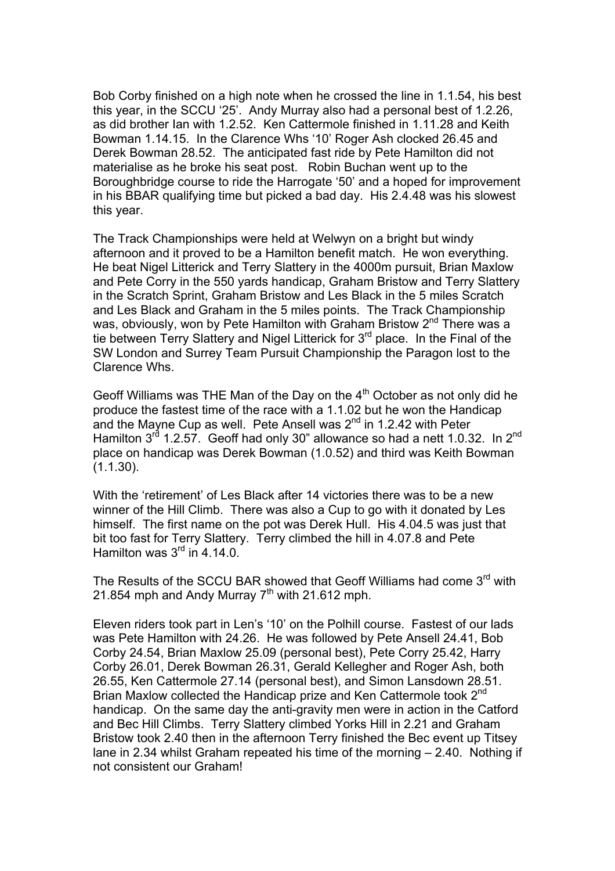Bob Corby finished on a high note when he crossed the line in 1.1.54, his best this year, in the SCCU '25'. Andy Murray also had a personal best of 1.2.26, as did brother Ian with 1.2.52. Ken Cattermole finished in 1.11.28 and Keith Bowman 1.14.15. In the Clarence Whs '10' Roger Ash clocked 26.45 and Derek Bowman 28.52. The anticipated fast ride by Pete Hamilton did not materialise as he broke his seat post. Robin Buchan went up to the Boroughbridge course to ride the Harrogate '50' and a hoped for improvement in his BBAR qualifying time but picked a bad day. His 2.4.48 was his slowest this year.

The Track Championships were held at Welwyn on a bright but windy afternoon and it proved to be a Hamilton benefit match. He won everything. He beat Nigel Litterick and Terry Slattery in the 4000m pursuit, Brian Maxlow and Pete Corry in the 550 yards handicap, Graham Bristow and Terry Slattery in the Scratch Sprint, Graham Bristow and Les Black in the 5 miles Scratch and Les Black and Graham in the 5 miles points. The Track Championship was, obviously, won by Pete Hamilton with Graham Bristow 2<sup>nd</sup> There was a tie between Terry Slattery and Nigel Litterick for 3<sup>rd</sup> place. In the Final of the SW London and Surrey Team Pursuit Championship the Paragon lost to the Clarence Whs.

Geoff Williams was THE Man of the Day on the 4<sup>th</sup> October as not only did he produce the fastest time of the race with a 1.1.02 but he won the Handicap and the Mayne Cup as well. Pete Ansell was  $2<sup>nd</sup>$  in 1.2.42 with Peter Hamilton  $3^{rd}$  1.2.57. Geoff had only 30" allowance so had a nett 1.0.32. In  $2^{nd}$ place on handicap was Derek Bowman (1.0.52) and third was Keith Bowman  $(1.1.30)$ .

With the 'retirement' of Les Black after 14 victories there was to be a new winner of the Hill Climb. There was also a Cup to go with it donated by Les himself. The first name on the pot was Derek Hull. His 4.04.5 was just that bit too fast for Terry Slattery. Terry climbed the hill in 4.07.8 and Pete Hamilton was 3<sup>rd</sup> in 4.14.0.

The Results of the SCCU BAR showed that Geoff Williams had come  $3<sup>rd</sup>$  with 21.854 mph and Andy Murray  $7<sup>th</sup>$  with 21.612 mph.

Eleven riders took part in Len's '10' on the Polhill course. Fastest of our lads was Pete Hamilton with 24.26. He was followed by Pete Ansell 24.41, Bob Corby 24.54, Brian Maxlow 25.09 (personal best), Pete Corry 25.42, Harry Corby 26.01, Derek Bowman 26.31, Gerald Kellegher and Roger Ash, both 26.55, Ken Cattermole 27.14 (personal best), and Simon Lansdown 28.51. Brian Maxlow collected the Handicap prize and Ken Cattermole took 2<sup>nd</sup> handicap. On the same day the anti-gravity men were in action in the Catford and Bec Hill Climbs. Terry Slattery climbed Yorks Hill in 2.21 and Graham Bristow took 2.40 then in the afternoon Terry finished the Bec event up Titsey lane in 2.34 whilst Graham repeated his time of the morning – 2.40. Nothing if not consistent our Graham!